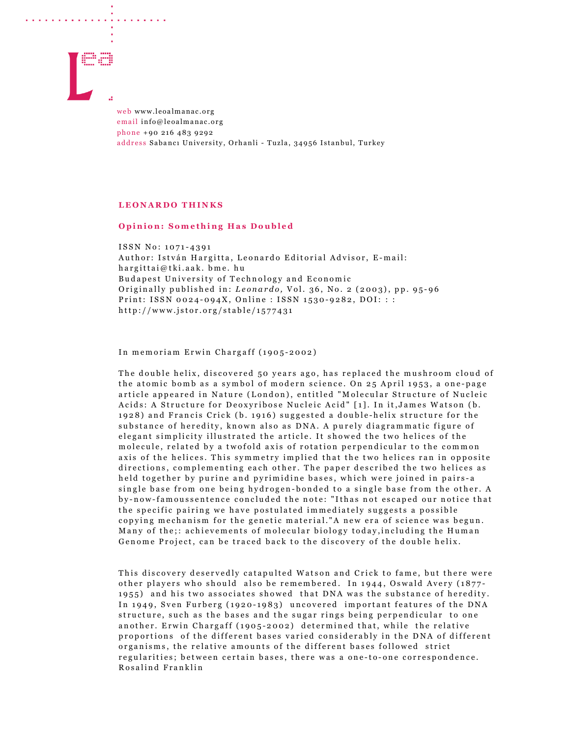

web www.leoalmanac.org email info@leoalmanac.org phone +90 216 483 9292 address Sabancı University, Orhanli - Tuzla, 34956 Istanbul, Turkey

## LEONARDO THINKS

## Opinion: Something Has Doubled

ISSN No: 1071-4391 Author: István Hargitta, Leonardo Editorial Advisor, E-mail: hargittai@tki.aak. bme. hu Budapest University of Technology and Economic Originally published in: Leonardo, Vol. 36, No. 2 (2003), pp. 95-96 Print: ISSN 0024-094X, Online : ISSN 1530-9282, DOI: : :  $http://www.jstor.org/stable/1577431$ 

In memoriam Erwin Chargaff (1905-2002)

The double helix, discovered 50 years ago, has replaced the mushroom cloud of the atomic bomb as a symbol of modern science. On 25 April 1953, a one-page article appeared in Nature (London), entitled "Molecular Structure of Nucleic Acids: A Structure for Deoxyribose Nucleic Acid" [1]. In it, James Watson (b. 1928) and Francis Crick (b. 1916) suggested a double-helix structure for the substance of heredity, known also as DNA. A purely diagrammatic figure of elegant simplicity illustrated the article. It showed the two helices of the molecule, related by a twofold axis of rotation perpendicular to the common axis of the helices. This symmetry implied that the two helices ran in opposite directions, complementing each other. The paper described the two helices as held together by purine and pyrimidine bases, which were joined in pairs-a single base from one being hydrogen-bonded to a single base from the other. A by-now-famoussentence concluded the note: "Ithas not escaped our notice that the specific pairing we have postulated immediately suggests a possible copying mechanism for the genetic material."A new era of science was begun. Many of the;: achievements of molecular biology today, including the Human Genome Project, can be traced back to the discovery of the double helix.

This discovery deservedly catapulted Watson and Crick to fame, but there were other players who should also be remembered. In 1944, Oswald Avery (1877-1955) and his two associates showed that DNA was the substance of heredity. In 1949, Sven Furberg (1920-1983) uncovered important features of the DNA structure, such as the bases and the sugar rings being perpendicular to one an o ther. Erwin Chargaff (1905-2002) determined that, while the relative proportions of the different bases varied considerably in the DNA of different organisms, the relative amounts of the different bases followed strict regularities; between certain bases, there was a one-to-one correspondence. Rosalind Franklin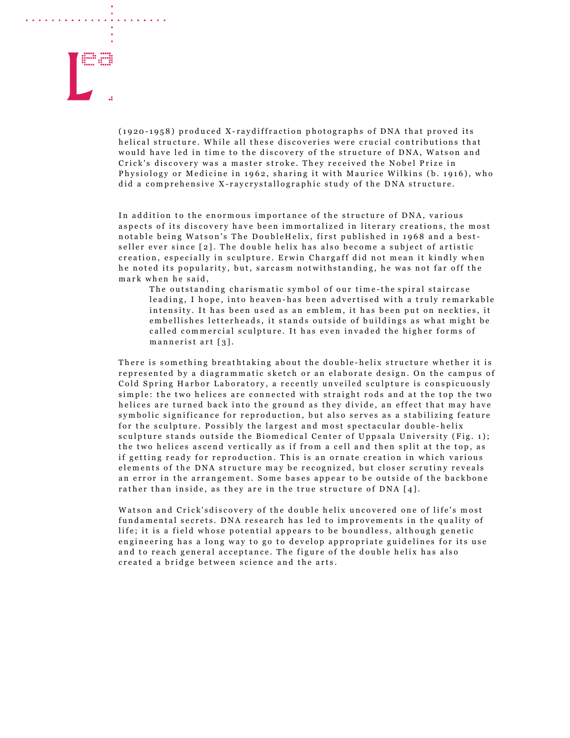

 $(1920-1958)$  produced X-raydiffraction photographs of DNA that proved its helical structure. While all these discoveries were crucial contributions that would have led in time to the discovery of the structure of DNA, Watson and Crick's discovery was a master stroke. They received the Nobel Prize in Physiology or Medicine in 1962, sharing it with Maurice Wilkins (b. 1916), who did a comprehensive X-raycrystallographic study of the DNA structure.

In addition to the enormous importance of the structure of DNA, various aspects of its discovery have been immortalized in literary creations, the most notable being Watson's The DoubleHelix, first published in 1968 and a bestseller ever since [2]. The double helix has also become a subject of artistic creation, especially in sculpture. Erwin Chargaff did not mean it kindly when he noted its popularity, but, sarcasm notwithstanding, he was not far off the mark when he said,

The outstanding charismatic symbol of our time-the spiral staircase leading, I hope, into heaven-has been advertised with a truly remarkable intensity. It has been used as an emblem, it has been put on neckties, it embellishes letterheads, it stands outside of buildings as what might be called commercial sculpture. It has even invaded the higher forms of m anner is t art  $\lceil 3 \rceil$ .

There is something breathtaking about the double-helix structure whether it is represented by a diagrammatic sketch or an elaborate design. On the campus of Cold Spring Harbor Laboratory, a recently unveiled sculpture is conspicuously simple: the two helices are connected with straight rods and at the top the two helices are turned back into the ground as they divide, an effect that may have symbolic significance for reproduction, but also serves as a stabilizing feature for the sculpture. Possibly the largest and most spectacular double-helix sculpture stands outside the Biomedical Center of Uppsala University (Fig. 1); the two helices ascend vertically as if from a cell and then split at the top, as if getting ready for reproduction. This is an ornate creation in which various e lements of the DNA structure may be recognized, but closer scrutiny reveals an error in the arrangement. Some bases appear to be outside of the backbone rather than inside, as they are in the true structure of DNA [4].

Watson and Crick'sdiscovery of the double helix uncovered one of life's most fundamental secrets. DNA research has led to improvements in the quality of life; it is a field whose potential appears to be boundless, although genetic engineering has a long way to go to develop appropriate guidelines for its use and to reach general acceptance. The figure of the double helix has also created a bridge between science and the arts.